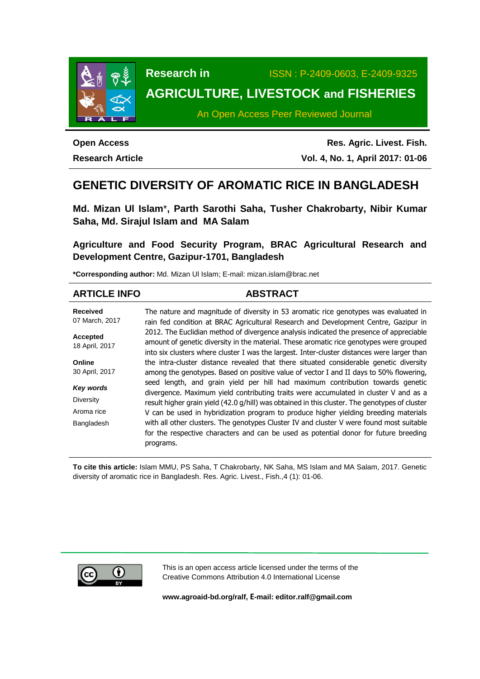

**Research in** ISSN : P-2409-0603, E-2409-9325

# **AGRICULTURE, LIVESTOCK and FISHERIES**

An Open Access Peer Reviewed Journal

**Open Access**

**Research Article**

**Res. Agric. Livest. Fish. Vol. 4, No. 1, April 2017: 01-06**

# **GENETIC DIVERSITY OF AROMATIC RICE IN BANGLADESH**

**Md. Mizan Ul Islam**\***, Parth Sarothi Saha, Tusher Chakrobarty, Nibir Kumar Saha, Md. Sirajul Islam and MA Salam**

**Agriculture and Food Security Program, BRAC Agricultural Research and Development Centre, Gazipur-1701, Bangladesh**

**\*Corresponding author:** Md. Mizan Ul Islam; E-mail: mizan.islam@brac.net

| <b>ARTICLE INFO</b>               | <b>ABSTRACT</b>                                                                                                                                                                                                                                                                   |
|-----------------------------------|-----------------------------------------------------------------------------------------------------------------------------------------------------------------------------------------------------------------------------------------------------------------------------------|
| <b>Received</b><br>07 March, 2017 | The nature and magnitude of diversity in 53 aromatic rice genotypes was evaluated in<br>rain fed condition at BRAC Agricultural Research and Development Centre, Gazipur in                                                                                                       |
| Accepted<br>18 April, 2017        | 2012. The Euclidian method of divergence analysis indicated the presence of appreciable<br>amount of genetic diversity in the material. These aromatic rice genotypes were grouped<br>into six clusters where cluster I was the largest. Inter-cluster distances were larger than |
| Online                            | the intra-cluster distance revealed that there situated considerable genetic diversity                                                                                                                                                                                            |
| 30 April, 2017                    | among the genotypes. Based on positive value of vector I and II days to 50% flowering,                                                                                                                                                                                            |
| Key words                         | seed length, and grain yield per hill had maximum contribution towards genetic<br>divergence. Maximum yield contributing traits were accumulated in cluster V and as a                                                                                                            |
| <b>Diversity</b>                  | result higher grain yield (42.0 g/hill) was obtained in this cluster. The genotypes of cluster                                                                                                                                                                                    |
| Aroma rice                        | V can be used in hybridization program to produce higher yielding breeding materials                                                                                                                                                                                              |
| Bangladesh                        | with all other clusters. The genotypes Cluster IV and cluster V were found most suitable<br>for the respective characters and can be used as potential donor for future breeding<br>programs.                                                                                     |

**To cite this article:** Islam MMU, PS Saha, T Chakrobarty, NK Saha, MS Islam and MA Salam, 2017. Genetic diversity of aromatic rice in Bangladesh. Res. Agric. Livest., Fish.,4 (1): 01-06.



This is an open access article licensed under the terms of the Creative Commons Attribution 4.0 International License

**[www.agroaid-bd.org/ralf,](http://www.agroaid-bd.org/ralf) E-mail: [editor.ralf@gmail.com](mailto:editor.ralf@gmail.com)**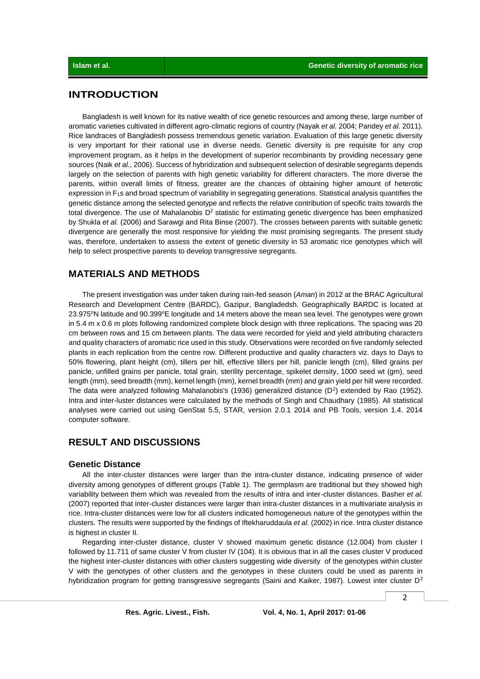# **INTRODUCTION**

Bangladesh is well known for its native wealth of rice genetic resources and among these, large number of aromatic varieties cultivated in different agro-climatic regions of country (Nayak *et al.* 2004; Pandey *et al.* 2011). Rice landraces of Bangladesh possess tremendous genetic variation. Evaluation of this large genetic diversity is very important for their rational use in diverse needs. Genetic diversity is pre requisite for any crop improvement program, as it helps in the development of superior recombinants by providing necessary gene sources (Naik *et al*., 2006). Success of hybridization and subsequent selection of desirable segregants depends largely on the selection of parents with high genetic variability for different characters. The more diverse the parents, within overall limits of fitness, greater are the chances of obtaining higher amount of heterotic expression in F<sub>1</sub>s and broad spectrum of variability in segregating generations. Statistical analysis quantifies the genetic distance among the selected genotype and reflects the relative contribution of specific traits towards the total divergence. The use of Mahalanobis  $D<sup>2</sup>$  statistic for estimating genetic divergence has been emphasized by Shukla *et al.* (2006) and Sarawgi and Rita Binse (2007). The crosses between parents with suitable genetic divergence are generally the most responsive for yielding the most promising segregants. The present study was, therefore, undertaken to assess the extent of genetic diversity in 53 aromatic rice genotypes which will help to select prospective parents to develop transgressive segregants.

#### **MATERIALS AND METHODS**

The present investigation was under taken during rain-fed season (*Aman*) in 2012 at the BRAC Agricultural Research and Development Centre (BARDC), Gazipur, Bangladedsh. Geographically BARDC is located at 23.975°N latitude and 90.399°E longitude and 14 meters above the mean sea level. The genotypes were grown in 5.4 m x 0.6 m plots following randomized complete block design with three replications. The spacing was 20 cm between rows and 15 cm between plants. The data were recorded for yield and yield attributing characters and quality characters of aromatic rice used in this study. Observations were recorded on five randomly selected plants in each replication from the centre row. Different productive and quality characters viz. days to Days to 50% flowering, plant height (cm), tillers per hill, effective tillers per hill, panicle length (cm), filled grains per panicle, unfilled grains per panicle, total grain, sterility percentage, spikelet density, 1000 seed wt (gm), seed length (mm), seed breadth (mm), kernel length (mm), kernel breadth (mm) and grain yield per hill were recorded. The data were analyzed following Mahalanobis's (1936) generalized distance  $(D^2)$  extended by Rao (1952). Intra and inter-luster distances were calculated by the methods of Singh and Chaudhary (1985). All statistical analyses were carried out using GenStat 5.5, STAR, version 2.0.1 2014 and PB Tools, version 1.4. 2014 computer software.

# **RESULT AND DISCUSSIONS**

#### **Genetic Distance**

All the inter-cluster distances were larger than the intra-cluster distance, indicating presence of wider diversity among genotypes of different groups (Table 1). The germplasm are traditional but they showed high variability between them which was revealed from the results of intra and inter-cluster distances. Basher *et al.* (2007) reported that inter-cluster distances were larger than intra-cluster distances in a multivariate analysis in rice. Intra-cluster distances were low for all clusters indicated homogeneous nature of the genotypes within the clusters. The results were supported by the findings of Iftekharuddaula *et al.* (2002) in rice. Intra cluster distance is highest in cluster II.

Regarding inter-cluster distance, cluster V showed maximum genetic distance (12.004) from cluster I followed by 11.711 of same cluster V from cluster IV (104). It is obvious that in all the cases cluster V produced the highest inter-cluster distances with other clusters suggesting wide diversity of the genotypes within cluster V with the genotypes of other clusters and the genotypes in these clusters could be used as parents in hybridization program for getting transgressive segregants (Saini and Kaiker, 1987). Lowest inter cluster  $D^2$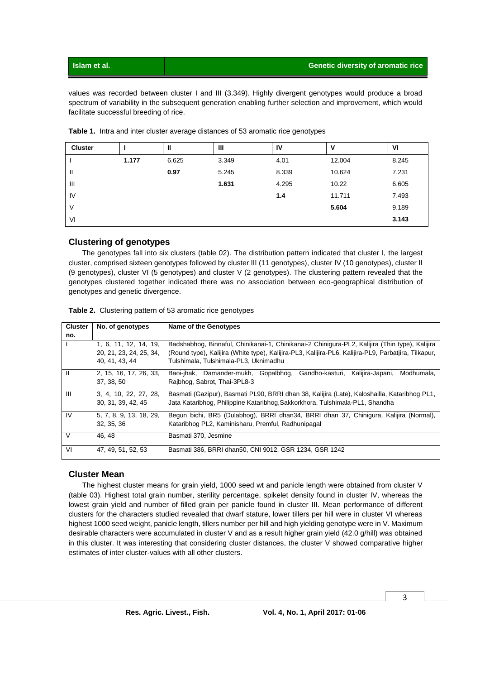| Islam et al. | <b>Genetic diversity of aromatic rice</b> |
|--------------|-------------------------------------------|
|              |                                           |

values was recorded between cluster I and III (3.349). Highly divergent genotypes would produce a broad spectrum of variability in the subsequent generation enabling further selection and improvement, which would facilitate successful breeding of rice.

| <b>Cluster</b> |       | ш     | Ш     | 1V    | ν      | VI    |
|----------------|-------|-------|-------|-------|--------|-------|
|                | 1.177 | 6.625 | 3.349 | 4.01  | 12.004 | 8.245 |
| Ш              |       | 0.97  | 5.245 | 8.339 | 10.624 | 7.231 |
| Ш              |       |       | 1.631 | 4.295 | 10.22  | 6.605 |
| IV             |       |       |       | 1.4   | 11.711 | 7.493 |
| V              |       |       |       |       | 5.604  | 9.189 |
| VI             |       |       |       |       |        | 3.143 |

**Table 1.** Intra and inter cluster average distances of 53 aromatic rice genotypes

## **Clustering of genotypes**

The genotypes fall into six clusters (table 02). The distribution pattern indicated that cluster I, the largest cluster, comprised sixteen genotypes followed by cluster III (11 genotypes), cluster IV (10 genotypes), cluster II (9 genotypes), cluster VI (5 genotypes) and cluster V (2 genotypes). The clustering pattern revealed that the genotypes clustered together indicated there was no association between eco-geographical distribution of genotypes and genetic divergence.

| <b>Cluster</b> | No. of genotypes        | Name of the Genotypes                                                                                |  |  |  |  |  |  |  |  |  |  |
|----------------|-------------------------|------------------------------------------------------------------------------------------------------|--|--|--|--|--|--|--|--|--|--|
|                |                         |                                                                                                      |  |  |  |  |  |  |  |  |  |  |
| no.            |                         |                                                                                                      |  |  |  |  |  |  |  |  |  |  |
|                | 1, 6, 11, 12, 14, 19,   | Badshabhog, Binnaful, Chinikanai-1, Chinikanai-2 Chinigura-PL2, Kalijira (Thin type), Kalijira       |  |  |  |  |  |  |  |  |  |  |
|                | 20, 21, 23, 24, 25, 34, | (Round type), Kalijira (White type), Kalijira-PL3, Kalijira-PL6, Kalijira-PL9, Parbatjira, Tilkapur, |  |  |  |  |  |  |  |  |  |  |
|                | 40.41.43.44             | Tulshimala, Tulshimala-PL3, Uknimadhu                                                                |  |  |  |  |  |  |  |  |  |  |
| Ш              | 2, 15, 16, 17, 26, 33,  | Baoi-jhak, Damander-mukh, Gopalbhog, Gandho-kasturi,<br>Kalijira-Japani,<br>Modhumala.               |  |  |  |  |  |  |  |  |  |  |
|                | 37, 38, 50              | Rajbhog, Sabrot, Thai-3PL8-3                                                                         |  |  |  |  |  |  |  |  |  |  |
| $\mathbf{III}$ | 3, 4, 10, 22, 27, 28,   | Basmati (Gazipur), Basmati PL90, BRRI dhan 38, Kalijira (Late), Kaloshailla, Kataribhog PL1,         |  |  |  |  |  |  |  |  |  |  |
|                | 30, 31, 39, 42, 45      | Jata Kataribhog, Philippine Kataribhog, Sakkorkhora, Tulshimala-PL1, Shandha                         |  |  |  |  |  |  |  |  |  |  |
| IV             | 5, 7, 8, 9, 13, 18, 29, | Begun bichi, BR5 (Dulabhog), BRRI dhan34, BRRI dhan 37, Chinigura, Kalijira (Normal),                |  |  |  |  |  |  |  |  |  |  |
|                | 32, 35, 36              | Kataribhog PL2, Kaminisharu, Premful, Radhunipagal                                                   |  |  |  |  |  |  |  |  |  |  |
| V              | 46.48                   | Basmati 370, Jesmine                                                                                 |  |  |  |  |  |  |  |  |  |  |
| VI             | 47, 49, 51, 52, 53      | Basmati 386, BRRI dhan50, CNI 9012, GSR 1234, GSR 1242                                               |  |  |  |  |  |  |  |  |  |  |

|  | Table 2. Clustering pattern of 53 aromatic rice genotypes |  |  |  |  |
|--|-----------------------------------------------------------|--|--|--|--|
|--|-----------------------------------------------------------|--|--|--|--|

### **Cluster Mean**

The highest cluster means for grain yield, 1000 seed wt and panicle length were obtained from cluster V (table 03). Highest total grain number, sterility percentage, spikelet density found in cluster IV, whereas the lowest grain yield and number of filled grain per panicle found in cluster III. Mean performance of different clusters for the characters studied revealed that dwarf stature, lower tillers per hill were in cluster VI whereas highest 1000 seed weight, panicle length, tillers number per hill and high yielding genotype were in V. Maximum desirable characters were accumulated in cluster V and as a result higher grain yield (42.0 g/hill) was obtained in this cluster. It was interesting that considering cluster distances, the cluster V showed comparative higher estimates of inter cluster-values with all other clusters.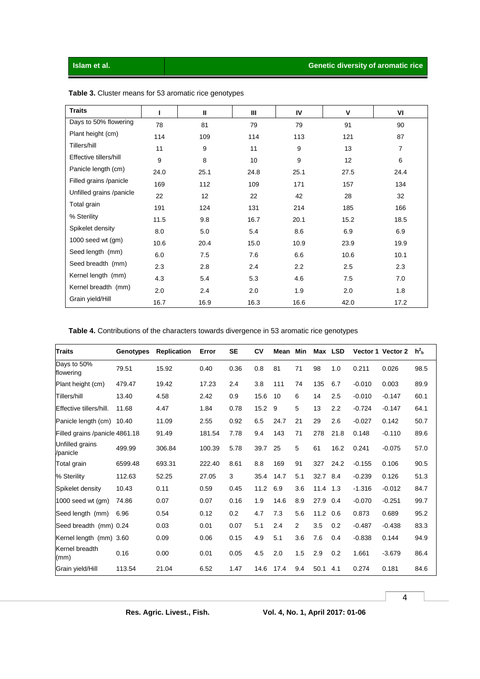| <b>Traits</b>            |      | Ш    | Ш    | IV   | V    | VI   |
|--------------------------|------|------|------|------|------|------|
| Days to 50% flowering    | 78   | 81   | 79   | 79   | 91   | 90   |
| Plant height (cm)        | 114  | 109  | 114  | 113  | 121  | 87   |
| Tillers/hill             | 11   | 9    | 11   | 9    | 13   | 7    |
| Effective tillers/hill   | 9    | 8    | 10   | 9    | 12   | 6    |
| Panicle length (cm)      | 24.0 | 25.1 | 24.8 | 25.1 | 27.5 | 24.4 |
| Filled grains /panicle   | 169  | 112  | 109  | 171  | 157  | 134  |
| Unfilled grains /panicle | 22   | 12   | 22   | 42   | 28   | 32   |
| Total grain              | 191  | 124  | 131  | 214  | 185  | 166  |
| % Sterility              | 11.5 | 9.8  | 16.7 | 20.1 | 15.2 | 18.5 |
| Spikelet density         | 8.0  | 5.0  | 5.4  | 8.6  | 6.9  | 6.9  |
| $1000$ seed wt $(gm)$    | 10.6 | 20.4 | 15.0 | 10.9 | 23.9 | 19.9 |
| Seed length (mm)         | 6.0  | 7.5  | 7.6  | 6.6  | 10.6 | 10.1 |
| Seed breadth (mm)        | 2.3  | 2.8  | 2.4  | 2.2  | 2.5  | 2.3  |
| Kernel length (mm)       | 4.3  | 5.4  | 5.3  | 4.6  | 7.5  | 7.0  |
| Kernel breadth (mm)      | 2.0  | 2.4  | 2.0  | 1.9  | 2.0  | 1.8  |
| Grain yield/Hill         | 16.7 | 16.9 | 16.3 | 16.6 | 42.0 | 17.2 |

**Table 3.** Cluster means for 53 aromatic rice genotypes

**Table 4.** Contributions of the characters towards divergence in 53 aromatic rice genotypes

| <b>Traits</b>                  | Genotypes | <b>Replication</b> | Error  | <b>SE</b> | CV   | Mean | Min            | Max  | <b>LSD</b> |          | Vector 1 Vector 2 | h <sup>2</sup> h |
|--------------------------------|-----------|--------------------|--------|-----------|------|------|----------------|------|------------|----------|-------------------|------------------|
| Days to 50%<br>flowering       | 79.51     | 15.92              | 0.40   | 0.36      | 0.8  | 81   | 71             | 98   | 1.0        | 0.211    | 0.026             | 98.5             |
| Plant height (cm)              | 479.47    | 19.42              | 17.23  | 2.4       | 3.8  | 111  | 74             | 135  | 6.7        | $-0.010$ | 0.003             | 89.9             |
| Tillers/hill                   | 13.40     | 4.58               | 2.42   | 0.9       | 15.6 | 10   | 6              | 14   | 2.5        | $-0.010$ | $-0.147$          | 60.1             |
| Effective tillers/hill.        | 11.68     | 4.47               | 1.84   | 0.78      | 15.2 | 9    | 5              | 13   | 2.2        | $-0.724$ | $-0.147$          | 64.1             |
| Panicle length (cm)            | 10.40     | 11.09              | 2.55   | 0.92      | 6.5  | 24.7 | 21             | 29   | 2.6        | $-0.027$ | 0.142             | 50.7             |
| Filled grains /panicle 4861.18 |           | 91.49              | 181.54 | 7.78      | 9.4  | 143  | 71             | 278  | 21.8       | 0.148    | $-0.110$          | 89.6             |
| Unfilled grains<br>/panicle    | 499.99    | 306.84             | 100.39 | 5.78      | 39.7 | 25   | 5              | 61   | 16.2       | 0.241    | $-0.075$          | 57.0             |
| Total grain                    | 6599.48   | 693.31             | 222.40 | 8.61      | 8.8  | 169  | 91             | 327  | 24.2       | $-0.155$ | 0.106             | 90.5             |
| % Sterility                    | 112.63    | 52.25              | 27.05  | 3         | 35.4 | 14.7 | 5.1            | 32.7 | 8.4        | $-0.239$ | 0.126             | 51.3             |
| Spikelet density               | 10.43     | 0.11               | 0.59   | 0.45      | 11.2 | 6.9  | 3.6            | 11.4 | 1.3        | $-1.316$ | $-0.012$          | 84.7             |
| 1000 seed wt (gm)              | 74.86     | 0.07               | 0.07   | 0.16      | 1.9  | 14.6 | 8.9            | 27.9 | 0.4        | $-0.070$ | $-0.251$          | 99.7             |
| Seed length (mm)               | 6.96      | 0.54               | 0.12   | 0.2       | 4.7  | 7.3  | 5.6            | 11.2 | 0.6        | 0.873    | 0.689             | 95.2             |
| Seed breadth (mm) 0.24         |           | 0.03               | 0.01   | 0.07      | 5.1  | 2.4  | $\overline{2}$ | 3.5  | 0.2        | $-0.487$ | $-0.438$          | 83.3             |
| Kernel length (mm) 3.60        |           | 0.09               | 0.06   | 0.15      | 4.9  | 5.1  | 3.6            | 7.6  | 0.4        | $-0.838$ | 0.144             | 94.9             |
| Kernel breadth<br>(mm)         | 0.16      | 0.00               | 0.01   | 0.05      | 4.5  | 2.0  | 1.5            | 2.9  | 0.2        | 1.661    | $-3.679$          | 86.4             |
| Grain yield/Hill               | 113.54    | 21.04              | 6.52   | 1.47      | 14.6 | 17.4 | 9.4            | 50.1 | 4.1        | 0.274    | 0.181             | 84.6             |

4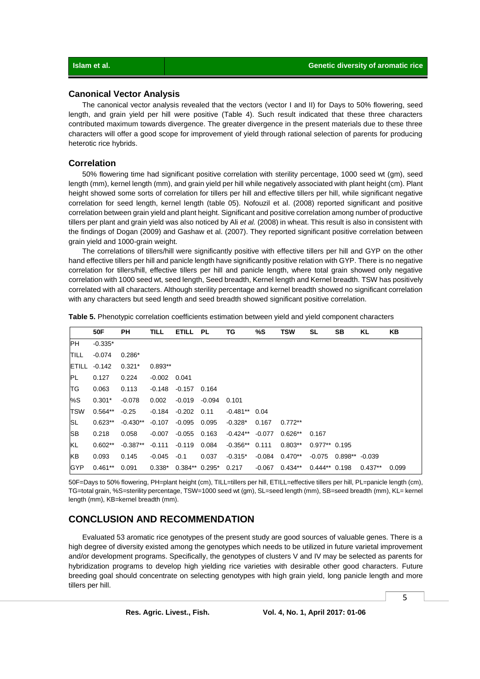#### **Canonical Vector Analysis**

The canonical vector analysis revealed that the vectors (vector I and II) for Days to 50% flowering, seed length, and grain yield per hill were positive (Table 4). Such result indicated that these three characters contributed maximum towards divergence. The greater divergence in the present materials due to these three characters will offer a good scope for improvement of yield through rational selection of parents for producing heterotic rice hybrids.

#### **Correlation**

50% flowering time had significant positive correlation with sterility percentage, 1000 seed wt (gm), seed length (mm), kernel length (mm), and grain yield per hill while negatively associated with plant height (cm). Plant height showed some sorts of correlation for tillers per hill and effective tillers per hill, while significant negative correlation for seed length, kernel length (table 05). Nofouzil et al. (2008) reported significant and positive correlation between grain yield and plant height. Significant and positive correlation among number of productive tillers per plant and grain yield was also noticed by Ali *et al.* (2008) in wheat. This result is also in consistent with the findings of Dogan (2009) and Gashaw et al. (2007). They reported significant positive correlation between grain yield and 1000-grain weight.

The correlations of tillers/hill were significantly positive with effective tillers per hill and GYP on the other hand effective tillers per hill and panicle length have significantly positive relation with GYP. There is no negative correlation for tillers/hill, effective tillers per hill and panicle length, where total grain showed only negative correlation with 1000 seed wt, seed length, Seed breadth, Kernel length and Kernel breadth. TSW has positively correlated with all characters. Although sterility percentage and kernel breadth showed no significant correlation with any characters but seed length and seed breadth showed significant positive correlation.

|               | 50F       | PН         | <b>TILL</b>    | ETILL PL        |        | ΤG               | %S       | <b>TSW</b> | SL              | SB               | KL        | KΒ    |
|---------------|-----------|------------|----------------|-----------------|--------|------------------|----------|------------|-----------------|------------------|-----------|-------|
| IPH.          | $-0.335*$ |            |                |                 |        |                  |          |            |                 |                  |           |       |
| <b>ITILL</b>  | $-0.074$  | $0.286*$   |                |                 |        |                  |          |            |                 |                  |           |       |
| <b>IETILL</b> | $-0.142$  | $0.321*$   | $0.893**$      |                 |        |                  |          |            |                 |                  |           |       |
| <b>PL</b>     | 0.127     | 0.224      | $-0.002$ 0.041 |                 |        |                  |          |            |                 |                  |           |       |
| <b>TG</b>     | 0.063     | 0.113      | -0.148         | $-0.157$        | 0.164  |                  |          |            |                 |                  |           |       |
| %S            | $0.301*$  | $-0.078$   | 0.002          | $-0.019$        | -0.094 | 0.101            |          |            |                 |                  |           |       |
| <b>TSW</b>    | $0.564**$ | $-0.25$    | -0.184         | $-0.202$        | 0.11   | $-0.481***$ 0.04 |          |            |                 |                  |           |       |
| ISL           | $0.623**$ | $-0.430**$ | $-0.107$       | $-0.095$        | 0.095  | $-0.328*$        | 0.167    | $0.772**$  |                 |                  |           |       |
| <b>SB</b>     | 0.218     | 0.058      | $-0.007$       | $-0.055$        | 0.163  | $-0.424**$       | $-0.077$ | $0.626**$  | 0.167           |                  |           |       |
| KL            | $0.602**$ | $-0.387**$ | $-0.111$       | $-0.119$        | 0.084  | $-0.356**$       | 0.111    | $0.803**$  | $0.977**$ 0.195 |                  |           |       |
| <b>KB</b>     | 0.093     | 0.145      | -0.045         | $-0.1$          | 0.037  | $-0.315*$        | $-0.084$ | $0.470**$  | -0.075          | $0.898** -0.039$ |           |       |
| <b>GYP</b>    | $0.461**$ | 0.091      | $0.338*$       | $0.384**0.295*$ |        | 0.217            | $-0.067$ | $0.434**$  | $0.444**$ 0.198 |                  | $0.437**$ | 0.099 |

**Table 5.** Phenotypic correlation coefficients estimation between yield and yield component characters

50F=Days to 50% flowering, PH=plant height (cm), TILL=tillers per hill, ETILL=effective tillers per hill, PL=panicle length (cm), TG=total grain, %S=sterility percentage, TSW=1000 seed wt (gm), SL=seed length (mm), SB=seed breadth (mm), KL= kernel length (mm), KB=kernel breadth (mm).

## **CONCLUSION AND RECOMMENDATION**

Evaluated 53 aromatic rice genotypes of the present study are good sources of valuable genes. There is a high degree of diversity existed among the genotypes which needs to be utilized in future varietal improvement and/or development programs. Specifically, the genotypes of clusters V and IV may be selected as parents for hybridization programs to develop high yielding rice varieties with desirable other good characters. Future breeding goal should concentrate on selecting genotypes with high grain yield, long panicle length and more tillers per hill.